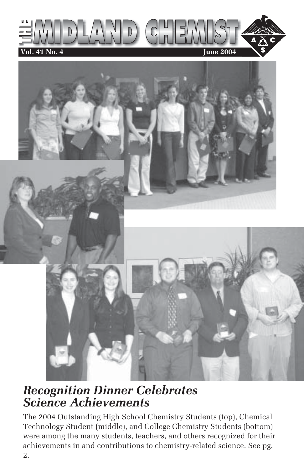



## *Recognition Dinner Celebrates Science Achievements*

The 2004 Outstanding High School Chemistry Students (top), Chemical Technology Student (middle), and College Chemistry Students (bottom) were among the many students, teachers, and others recognized for their achievements in and contributions to chemistry-related science. See pg. 2.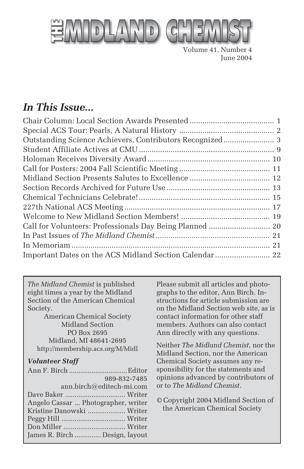

Volume 41, Number 4 June 2004

#### *In This Issue...*

| Call for Volunteers: Professionals Day Being Planned  20 |  |
|----------------------------------------------------------|--|
|                                                          |  |
|                                                          |  |
|                                                          |  |
|                                                          |  |

*The Midland Chemist* is published eight times a year by the Midland Section of the American Chemical Society.

American Chemical Society Midland Section PO Box 2695 Midland, MI 48641-2695 http://membership.acs.org/M/Midl

#### *Volunteer Staff*

| 989-832-7485                        |  |
|-------------------------------------|--|
| ann.birch@editech-mi.com            |  |
|                                     |  |
| Angelo Cassar  Photographer, writer |  |
| Kristine Danowski  Writer           |  |
|                                     |  |
|                                     |  |
| James R. Birch  Design, layout      |  |

Please submit all articles and photographs to the editor, Ann Birch. Instructions for article submission are on the Midland Section web site, as is contact information for other staff members. Authors can also contact Ann directly with any questions.

Neither *The Midland Chemist*, nor the Midland Section, nor the American Chemical Society assumes any responsibility for the statements and opinions advanced by contributors of or to *The Midland Chemist*.

© Copyright 2004 Midland Section of the American Chemical Society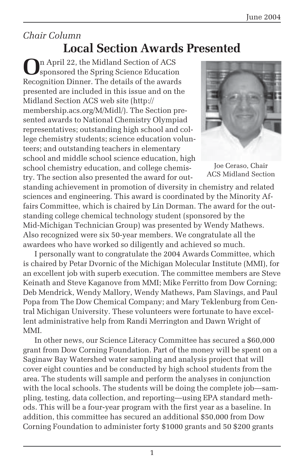#### *Chair Column* **Local Section Awards Presented**

**O**n April 22, the Midland Section of ACS sponsored the Spring Science Education Recognition Dinner. The details of the awards presented are included in this issue and on the Midland Section ACS web site (http:// membership.acs.org/M/Midl/). The Section presented awards to National Chemistry Olympiad representatives; outstanding high school and college chemistry students; science education volunteers; and outstanding teachers in elementary school and middle school science education, high school chemistry education, and college chemistry. The section also presented the award for out-



Joe Ceraso, Chair ACS Midland Section

standing achievement in promotion of diversity in chemistry and related sciences and engineering. This award is coordinated by the Minority Affairs Committee, which is chaired by Lin Dorman. The award for the outstanding college chemical technology student (sponsored by the Mid-Michigan Technician Group) was presented by Wendy Mathews. Also recognized were six 50-year members. We congratulate all the awardees who have worked so diligently and achieved so much.

I personally want to congratulate the 2004 Awards Committee, which is chaired by Petar Dvornic of the Michigan Molecular Institute (MMI), for an excellent job with superb execution. The committee members are Steve Keinath and Steve Kaganove from MMI; Mike Ferritto from Dow Corning; Deb Mendrick, Wendy Mallory, Wendy Mathews, Pam Slavings, and Paul Popa from The Dow Chemical Company; and Mary Teklenburg from Central Michigan University. These volunteers were fortunate to have excellent administrative help from Randi Merrington and Dawn Wright of MMI.

In other news, our Science Literacy Committee has secured a \$60,000 grant from Dow Corning Foundation. Part of the money will be spent on a Saginaw Bay Watershed water sampling and analysis project that will cover eight counties and be conducted by high school students from the area. The students will sample and perform the analyses in conjunction with the local schools. The students will be doing the complete job—sampling, testing, data collection, and reporting—using EPA standard methods. This will be a four-year program with the first year as a baseline. In addition, this committee has secured an additional \$50,000 from Dow Corning Foundation to administer forty \$1000 grants and 50 \$200 grants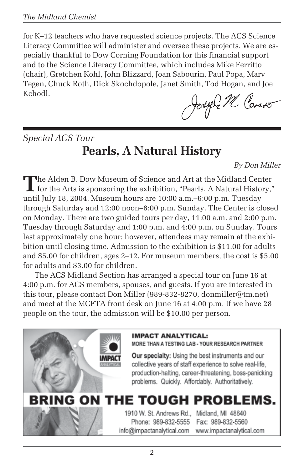for K–12 teachers who have requested science projects. The ACS Science Literacy Committee will administer and oversee these projects. We are especially thankful to Dow Corning Foundation for this financial support and to the Science Literacy Committee, which includes Mike Ferritto (chair), Gretchen Kohl, John Blizzard, Joan Sabourin, Paul Popa, Marv Tegen, Chuck Roth, Dick Skochdopole, Janet Smith, Tod Hogan, and Joe Kchodl.

exprt. Como

*Special ACS Tour* **Pearls, A Natural History**

*By Don Miller*

The Alden B. Dow Museum of Science and Art at the Midland Center<br>for the Arts is sponsoring the exhibition, "Pearls, A Natural History,"<br> $\frac{1}{2}$ until July 18, 2004. Museum hours are 10:00 a.m.–6:00 p.m. Tuesday through Saturday and 12:00 noon–6:00 p.m. Sunday. The Center is closed on Monday. There are two guided tours per day, 11:00 a.m. and 2:00 p.m. Tuesday through Saturday and 1:00 p.m. and 4:00 p.m. on Sunday. Tours last approximately one hour; however, attendees may remain at the exhibition until closing time. Admission to the exhibition is \$11.00 for adults and \$5.00 for children, ages 2–12. For museum members, the cost is \$5.00 for adults and \$3.00 for children.

The ACS Midland Section has arranged a special tour on June 16 at 4:00 p.m. for ACS members, spouses, and guests. If you are interested in this tour, please contact Don Miller (989-832-8270, donmiller@tm.net) and meet at the MCFTA front desk on June 16 at 4:00 p.m. If we have 28 people on the tour, the admission will be \$10.00 per person.



MORE THAN A TESTING LAB - YOUR RESEARCH PARTNER

Our specialty: Using the best instruments and our collective years of staff experience to solve real-life. production-halting, career-threatening, boss-panicking problems. Quickly. Affordably. Authoritatively.

## **BRING ON THE TOUGH PROBLEMS.**

1910 W. St. Andrews Rd., Midland, MI 48640 Phone: 989-832-5555 Fax: 989-832-5560 info@impactanalytical.com www.impactanalytical.com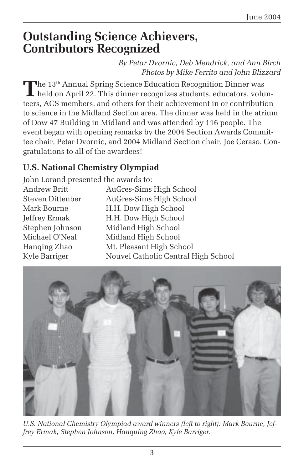## **Outstanding Science Achievers, Contributors Recognized**

*By Petar Dvornic, Deb Mendrick, and Ann Birch Photos by Mike Ferrito and John Blizzard*

**The 13<sup>th</sup> Annual Spring Science Education Recognition Dinner was** held on April 22. This dinner recognizes students, educators, volunteers, ACS members, and others for their achievement in or contribution to science in the Midland Section area. The dinner was held in the atrium of Dow 47 Building in Midland and was attended by 116 people. The event began with opening remarks by the 2004 Section Awards Committee chair, Petar Dvornic, and 2004 Midland Section chair, Joe Ceraso. Congratulations to all of the awardees!

#### **U.S. National Chemistry Olympiad**

John Lorand presented the awards to: Andrew Britt AuGres-Sims High School Steven Dittenber AuGres-Sims High School Mark Bourne **H.H. Dow High School** Jeffrey Ermak H.H. Dow High School Stephen Johnson Midland High School Michael O'Neal Midland High School Hanqing Zhao Mt. Pleasant High School Kyle Barriger Nouvel Catholic Central High School



*U.S. National Chemistry Olympiad award winners (left to right): Mark Bourne, Jeffrey Ermak, Stephen Johnson, Hanquing Zhao, Kyle Barriger.*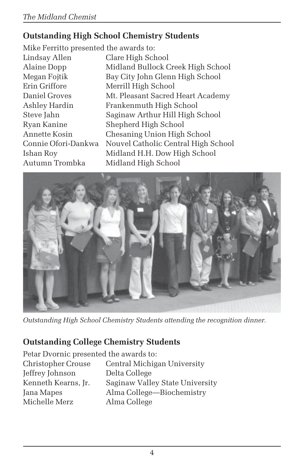#### **Outstanding High School Chemistry Students**

Mike Ferritto presented the awards to: Lindsay Allen Clare High School Erin Griffore Merrill High School

Alaine Dopp Midland Bullock Creek High School Megan Fojtik Bay City John Glenn High School Daniel Groves Mt. Pleasant Sacred Heart Academy Ashley Hardin Frankenmuth High School Steve Jahn Saginaw Arthur Hill High School Ryan Kanine Shepherd High School Annette Kosin Chesaning Union High School Connie Ofori-Dankwa Nouvel Catholic Central High School Ishan Roy Midland H.H. Dow High School Autumn Trombka Midland High School



*Outstanding High School Chemistry Students attending the recognition dinner.*

#### **Outstanding College Chemistry Students**

Petar Dvornic presented the awards to: Christopher Crouse Central Michigan University Jeffrey Johnson Delta College Kenneth Kearns, Jr. Saginaw Valley State University Jana Mapes Alma College—Biochemistry Michelle Merz Alma College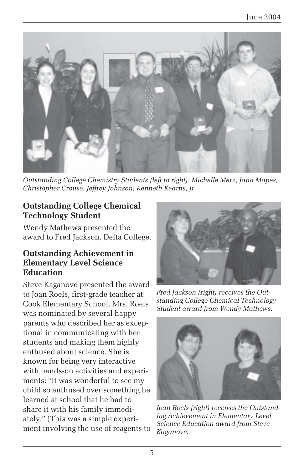

*Outstanding College Chemistry Students (left to right): Michelle Merz, Jana Mapes, Christopher Crouse, Jeffrey Johnson, Kenneth Kearns, Jr.*

#### **Outstanding College Chemical Technology Student**

Wendy Mathews presented the award to Fred Jackson, Delta College.

#### **Outstanding Achievement in Elementary Level Science Education**

Steve Kaganove presented the award to Joan Roels, first-grade teacher at Cook Elementary School. Mrs. Roels was nominated by several happy parents who described her as exceptional in communicating with her students and making them highly enthused about science. She is known for being very interactive with hands-on activities and experiments: "It was wonderful to see my child so enthused over something he learned at school that he had to share it with his family immediately." (This was a simple experiment involving the use of reagents to



*Fred Jackson (right) receives the Outstanding College Chemical Technology Student award from Wendy Mathews.*



*Joan Roels (right) receives the Outstanding Achievement in Elementary Level Science Education award from Steve Kaganove.*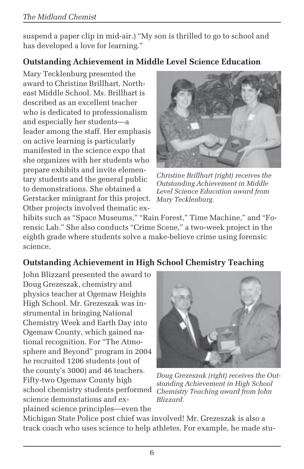suspend a paper clip in mid-air.) "My son is thrilled to go to school and has developed a love for learning."

#### **Outstanding Achievement in Middle Level Science Education**

Mary Tecklenburg presented the award to Christine Brillhart, Northeast Middle School. Ms. Brillhart is described as an excellent teacher who is dedicated to professionalism and especially her students—a leader among the staff. Her emphasis on active learning is particularly manifested in the science expo that she organizes with her students who prepare exhibits and invite elementary students and the general public to demonstrations. She obtained a Gerstacker minigrant for this project. Other projects involved thematic ex-



*Christine Brillhart (right) receives the Outstanding Achievement in Middle Level Science Education award from Mary Tecklenburg.*

hibits such as "Space Museums," "Rain Forest," Time Machine," and "Forensic Lab." She also conducts "Crime Scene," a two-week project in the eighth grade where students solve a make-believe crime using forensic science.

#### **Outstanding Achievement in High School Chemistry Teaching**

John Blizzard presented the award to Doug Grezeszak, chemistry and physics teacher at Ogemaw Heights High School. Mr. Grezeszak was instrumental in bringing National Chemistry Week and Earth Day into Ogemaw County, which gained national recognition. For "The Atmosphere and Beyond" program in 2004 he recruited 1206 students (out of the county's 3000) and 46 teachers. Fifty-two Ogemaw County high school chemistry students performed science demonstations and explained science principles—even the



*Doug Grezeszak (right) receives the Outstanding Achievement in High School Chemistry Teaching award from John Blizzard.*

Michigan State Police post chief was involved! Mr. Grezeszak is also a track coach who uses science to help athletes. For example, he made stu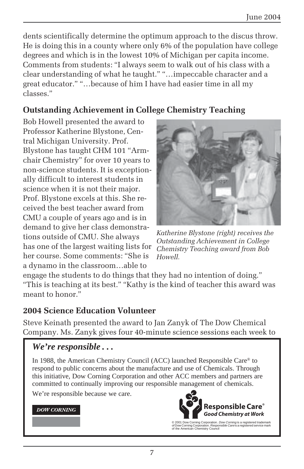dents scientifically determine the optimum approach to the discus throw. He is doing this in a county where only 6% of the population have college degrees and which is in the lowest 10% of Michigan per capita income. Comments from students: "I always seem to walk out of his class with a clear understanding of what he taught." "…impeccable character and a great educator." "…because of him I have had easier time in all my classes."

#### **Outstanding Achievement in College Chemistry Teaching**

Bob Howell presented the award to Professor Katherine Blystone, Central Michigan University. Prof. Blystone has taught CHM 101 "Armchair Chemistry" for over 10 years to non-science students. It is exceptionally difficult to interest students in science when it is not their major. Prof. Blystone excels at this. She received the best teacher award from CMU a couple of years ago and is in demand to give her class demonstrations outside of CMU. She always has one of the largest waiting lists for her course. Some comments: "She is a dynamo in the classroom…able to



*Katherine Blystone (right) receives the Outstanding Achievement in College Chemistry Teaching award from Bob Howell.*

engage the students to do things that they had no intention of doing." "This is teaching at its best." "Kathy is the kind of teacher this award was meant to honor."

#### **2004 Science Education Volunteer**

Steve Keinath presented the award to Jan Zanyk of The Dow Chemical Company. Ms. Zanyk gives four 40-minute science sessions each week to

#### *We're responsible . . .*

In 1988, the American Chemistry Council (ACC) launched Responsible Care® to respond to public concerns about the manufacture and use of Chemicals. Through this initiative, Dow Corning Corporation and other ACC members and partners are committed to continually improving our responsible management of chemicals.

We're responsible because we care.

#### **DOW CORNING**



<sup>© 2001</sup> Dow Corning Corporation. *Dow Corning* is a registered trademark<br>of Dow Corning Corporation. *Responsible Care* is a registered service mark<br>of the American Chemistry Council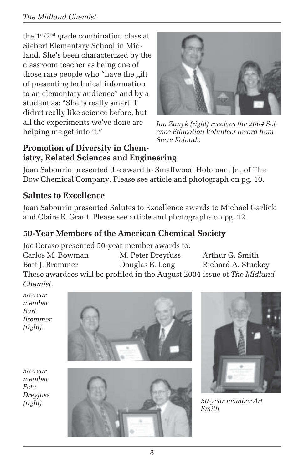#### *The Midland Chemist*

the  $1<sup>st</sup>/2<sup>nd</sup>$  grade combination class at Siebert Elementary School in Midland. She's been characterized by the classroom teacher as being one of those rare people who "have the gift of presenting technical information to an elementary audience" and by a student as: "She is really smart! I didn't really like science before, but all the experiments we've done are helping me get into it."



*Jan Zanyk (right) receives the 2004 Science Education Volunteer award from Steve Keinath.*

#### **Promotion of Diversity in Chemistry, Related Sciences and Engineering**

Joan Sabourin presented the award to Smallwood Holoman, Jr., of The Dow Chemical Company. Please see article and photograph on pg. 10.

#### **Salutes to Excellence**

Joan Sabourin presented Salutes to Excellence awards to Michael Garlick and Claire E. Grant. Please see article and photographs on pg. 12.

#### **50-Year Members of the American Chemical Society**

Joe Ceraso presented 50-year member awards to: Carlos M. Bowman M. Peter Dreyfuss Arthur G. Smith Bart J. Bremmer Douglas E. Leng Richard A. Stuckey These awardees will be profiled in the August 2004 issue of *The Midland Chemist*.

*50-year member Bart Bremmer (right).*



*50-year member Pete Dreyfuss*





*Smith.*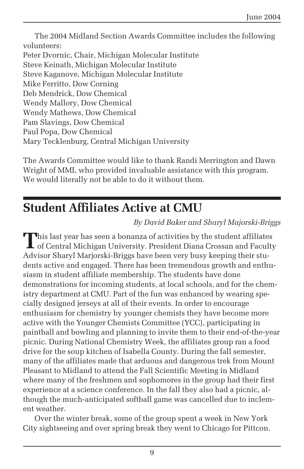The 2004 Midland Section Awards Committee includes the following volunteers: Peter Dvornic, Chair, Michigan Molecular Institute Steve Keinath, Michigan Molecular Institute Steve Kaganove, Michigan Molecular Institute Mike Ferritto, Dow Corning Deb Mendrick, Dow Chemical Wendy Mallory, Dow Chemical Wendy Mathews, Dow Chemical Pam Slavings, Dow Chemical Paul Popa, Dow Chemical Mary Tecklenburg, Central Michigan University

The Awards Committee would like to thank Randi Merrington and Dawn Wright of MMI, who provided invaluable assistance with this program. We would literally not be able to do it without them.

## **Student Affiliates Active at CMU**

*By David Baker and Sharyl Majorski-Briggs*

This last year has seen a bonanza of activities by the student affiliates **L** of Central Michigan University. President Diana Crossan and Faculty Advisor Sharyl Marjorski-Briggs have been very busy keeping their students active and engaged. There has been tremendous growth and enthusiasm in student affiliate membership. The students have done demonstrations for incoming students, at local schools, and for the chemistry department at CMU. Part of the fun was enhanced by wearing specially designed jerseys at all of their events. In order to encourage enthusiasm for chemistry by younger chemists they have become more active with the Younger Chemists Committee (YCC), participating in paintball and bowling and planning to invite them to their end-of-the-year picnic. During National Chemistry Week, the affiliates group ran a food drive for the soup kitchen of Isabella County. During the fall semester, many of the affiliates made that arduous and dangerous trek from Mount Pleasant to Midland to attend the Fall Scientific Meeting in Midland where many of the freshmen and sophomores in the group had their first experience at a science conference. In the fall they also had a picnic, although the much-anticipated softball game was cancelled due to inclement weather.

Over the winter break, some of the group spent a week in New York City sightseeing and over spring break they went to Chicago for Pittcon.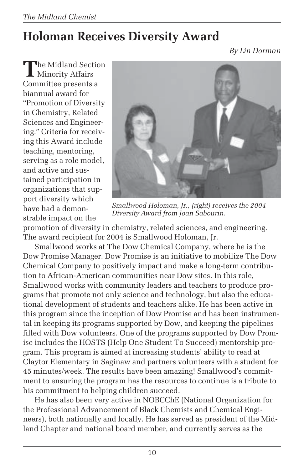## **Holoman Receives Diversity Award**

*By Lin Dorman*

**T**he Midland Section Minority Affairs Committee presents a biannual award for "Promotion of Diversity in Chemistry, Related Sciences and Engineering." Criteria for receiving this Award include teaching, mentoring, serving as a role model, and active and sustained participation in organizations that support diversity which have had a demonstrable impact on the



*Smallwood Holoman, Jr., (right) receives the 2004 Diversity Award from Joan Sabourin.*

promotion of diversity in chemistry, related sciences, and engineering. The award recipient for 2004 is Smallwood Holoman, Jr.

Smallwood works at The Dow Chemical Company, where he is the Dow Promise Manager. Dow Promise is an initiative to mobilize The Dow Chemical Company to positively impact and make a long-term contribution to African-American communities near Dow sites. In this role, Smallwood works with community leaders and teachers to produce programs that promote not only science and technology, but also the educational development of students and teachers alike. He has been active in this program since the inception of Dow Promise and has been instrumental in keeping its programs supported by Dow, and keeping the pipelines filled with Dow volunteers. One of the programs supported by Dow Promise includes the HOSTS (Help One Student To Succeed) mentorship program. This program is aimed at increasing students' ability to read at Claytor Elementary in Saginaw and partners volunteers with a student for 45 minutes/week. The results have been amazing! Smallwood's commitment to ensuring the program has the resources to continue is a tribute to his commitment to helping children succeed.

He has also been very active in NOBCChE (National Organization for the Professional Advancement of Black Chemists and Chemical Engineers), both nationally and locally. He has served as president of the Midland Chapter and national board member, and currently serves as the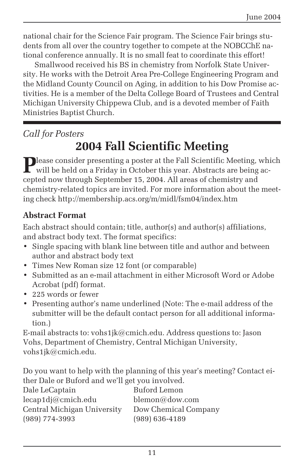national chair for the Science Fair program. The Science Fair brings students from all over the country together to compete at the NOBCChE national conference annually. It is no small feat to coordinate this effort!

Smallwood received his BS in chemistry from Norfolk State University. He works with the Detroit Area Pre-College Engineering Program and the Midland County Council on Aging, in addition to his Dow Promise activities. He is a member of the Delta College Board of Trustees and Central Michigan University Chippewa Club, and is a devoted member of Faith Ministries Baptist Church.

#### *Call for Posters*

## **2004 Fall Scientific Meeting**

**P**lease consider presenting a poster at the Fall Scientific Meeting, which will be held on a Friday in October this year. Abstracts are being accepted now through September 15, 2004. All areas of chemistry and chemistry-related topics are invited. For more information about the meeting check http://membership.acs.org/m/midl/fsm04/index.htm

#### **Abstract Format**

Each abstract should contain; title, author(s) and author(s) affiliations, and abstract body text. The format specifics:

- Single spacing with blank line between title and author and between author and abstract body text
- Times New Roman size 12 font (or comparable)
- Submitted as an e-mail attachment in either Microsoft Word or Adobe Acrobat (pdf) format.
- 225 words or fewer
- Presenting author's name underlined (Note: The e-mail address of the submitter will be the default contact person for all additional information.)

E-mail abstracts to: vohs1jk@cmich.edu. Address questions to: Jason Vohs, Department of Chemistry, Central Michigan University, vohs1jk@cmich.edu.

Do you want to help with the planning of this year's meeting? Contact either Dale or Buford and we'll get you involved.

| Dale LeCaptain              | Buford Lemon         |
|-----------------------------|----------------------|
| $lecap1d$ j@cmich.edu       | blemon@down.com      |
| Central Michigan University | Dow Chemical Company |
| $(989) 774 - 3993$          | $(989) 636 - 4189$   |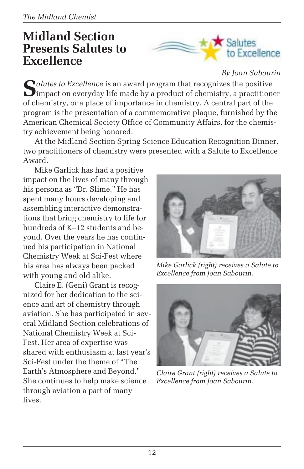## **Midland Section Presents Salutes to Excellence**



*By Joan Sabourin*

Salutes to Excellence is an award program that recognizes the positive impact on everyday life made by a product of chemistry, a practitioner of chemistry, or a place of importance in chemistry. A central part of the program is the presentation of a commemorative plaque, furnished by the American Chemical Society Office of Community Affairs, for the chemistry achievement being honored.

At the Midland Section Spring Science Education Recognition Dinner, two practitioners of chemistry were presented with a Salute to Excellence Award.

Mike Garlick has had a positive impact on the lives of many through his persona as "Dr. Slime." He has spent many hours developing and assembling interactive demonstrations that bring chemistry to life for hundreds of K–12 students and beyond. Over the years he has continued his participation in National Chemistry Week at Sci-Fest where his area has always been packed with young and old alike.

Claire E. (Geni) Grant is recognized for her dedication to the science and art of chemistry through aviation. She has participated in several Midland Section celebrations of National Chemistry Week at Sci-Fest. Her area of expertise was shared with enthusiasm at last year's Sci-Fest under the theme of "The Earth's Atmosphere and Beyond." She continues to help make science through aviation a part of many lives.



*Mike Garlick (right) receives a Salute to Excellence from Joan Sabourin.*



*Claire Grant (right) receives a Salute to Excellence from Joan Sabourin.*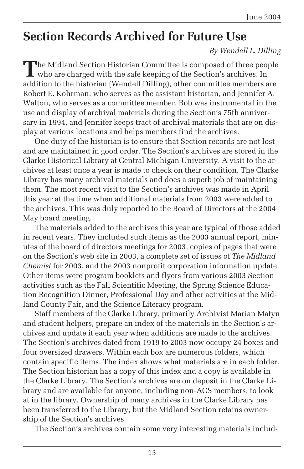## **Section Records Archived for Future Use**

#### *By Wendell L. Dilling*

**T**he Midland Section Historian Committee is composed of three people I who are charged with the safe keeping of the Section's archives. In addition to the historian (Wendell Dilling), other committee members are Robert E. Kohrman, who serves as the assistant historian, and Jennifer A. Walton, who serves as a committee member. Bob was instrumental in the use and display of archival materials during the Section's 75th anniversary in 1994, and Jennifer keeps tract of archival materials that are on display at various locations and helps members find the archives.

One duty of the historian is to ensure that Section records are not lost and are maintained in good order. The Section's archives are stored in the Clarke Historical Library at Central Michigan University. A visit to the archives at least once a year is made to check on their condition. The Clarke Library has many archival materials and does a superb job of maintaining them. The most recent visit to the Section's archives was made in April this year at the time when additional materials from 2003 were added to the archives. This was duly reported to the Board of Directors at the 2004 May board meeting.

The materials added to the archives this year are typical of those added in recent years. They included such items as the 2003 annual report, minutes of the board of directors meetings for 2003, copies of pages that were on the Section's web site in 2003, a complete set of issues of *The Midland Chemist* for 2003, and the 2003 nonprofit corporation information update. Other items were program booklets and flyers from various 2003 Section activities such as the Fall Scientific Meeting, the Spring Science Education Recognition Dinner, Professional Day and other activities at the Midland County Fair, and the Science Literacy program.

Staff members of the Clarke Library, primarily Archivist Marian Matyn and student helpers, prepare an index of the materials in the Section's archives and update it each year when additions are made to the archives. The Section's archives dated from 1919 to 2003 now occupy 24 boxes and four oversized drawers. Within each box are numerous folders, which contain specific items. The index shows what materials are in each folder. The Section historian has a copy of this index and a copy is available in the Clarke Library. The Section's archives are on deposit in the Clarke Library and are available for anyone, including non-ACS members, to look at in the library. Ownership of many archives in the Clarke Library has been transferred to the Library, but the Midland Section retains ownership of the Section's archives.

The Section's archives contain some very interesting materials includ-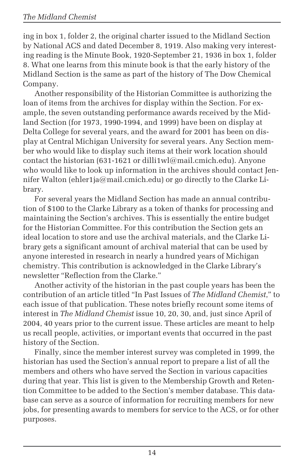ing in box 1, folder 2, the original charter issued to the Midland Section by National ACS and dated December 8, 1919. Also making very interesting reading is the Minute Book, 1920-September 21, 1936 in box 1, folder 8. What one learns from this minute book is that the early history of the Midland Section is the same as part of the history of The Dow Chemical Company.

Another responsibility of the Historian Committee is authorizing the loan of items from the archives for display within the Section. For example, the seven outstanding performance awards received by the Midland Section (for 1973, 1990-1994, and 1999) have been on display at Delta College for several years, and the award for 2001 has been on display at Central Michigan University for several years. Any Section member who would like to display such items at their work location should contact the historian (631-1621 or dilli1wl@mail.cmich.edu). Anyone who would like to look up information in the archives should contact Jennifer Walton (ehler1ja@mail.cmich.edu) or go directly to the Clarke Library.

For several years the Midland Section has made an annual contribution of \$100 to the Clarke Library as a token of thanks for processing and maintaining the Section's archives. This is essentially the entire budget for the Historian Committee. For this contribution the Section gets an ideal location to store and use the archival materials, and the Clarke Library gets a significant amount of archival material that can be used by anyone interested in research in nearly a hundred years of Michigan chemistry. This contribution is acknowledged in the Clarke Library's newsletter "Reflection from the Clarke."

Another activity of the historian in the past couple years has been the contribution of an article titled "In Past Issues of *The Midland Chemist*," to each issue of that publication. These notes briefly recount some items of interest in *The Midland Chemist* issue 10, 20, 30, and, just since April of 2004, 40 years prior to the current issue. These articles are meant to help us recall people, activities, or important events that occurred in the past history of the Section.

Finally, since the member interest survey was completed in 1999, the historian has used the Section's annual report to prepare a list of all the members and others who have served the Section in various capacities during that year. This list is given to the Membership Growth and Retention Committee to be added to the Section's member database. This database can serve as a source of information for recruiting members for new jobs, for presenting awards to members for service to the ACS, or for other purposes.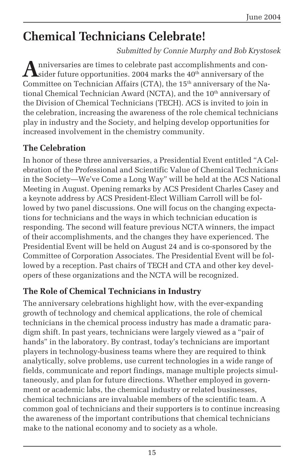## **Chemical Technicians Celebrate!**

*Submitted by Connie Murphy and Bob Krystosek*

**A**nniversaries are times to celebrate past accomplishments and con-<br>sider future opportunities. 2004 marks the 40<sup>th</sup> anniversary of the Committee on Technician Affairs (CTA), the  $15<sup>th</sup>$  anniversary of the National Chemical Technician Award (NCTA), and the 10<sup>th</sup> anniversary of the Division of Chemical Technicians (TECH). ACS is invited to join in the celebration, increasing the awareness of the role chemical technicians play in industry and the Society, and helping develop opportunities for increased involvement in the chemistry community.

#### **The Celebration**

In honor of these three anniversaries, a Presidential Event entitled "A Celebration of the Professional and Scientific Value of Chemical Technicians in the Society—We've Come a Long Way" will be held at the ACS National Meeting in August. Opening remarks by ACS President Charles Casey and a keynote address by ACS President-Elect William Carroll will be followed by two panel discussions. One will focus on the changing expectations for technicians and the ways in which technician education is responding. The second will feature previous NCTA winners, the impact of their accomplishments, and the changes they have experienced. The Presidential Event will be held on August 24 and is co-sponsored by the Committee of Corporation Associates. The Presidential Event will be followed by a reception. Past chairs of TECH and CTA and other key developers of these organizations and the NCTA will be recognized.

#### **The Role of Chemical Technicians in Industry**

The anniversary celebrations highlight how, with the ever-expanding growth of technology and chemical applications, the role of chemical technicians in the chemical process industry has made a dramatic paradigm shift. In past years, technicians were largely viewed as a "pair of hands" in the laboratory. By contrast, today's technicians are important players in technology-business teams where they are required to think analytically, solve problems, use current technologies in a wide range of fields, communicate and report findings, manage multiple projects simultaneously, and plan for future directions. Whether employed in government or academic labs, the chemical industry or related businesses, chemical technicians are invaluable members of the scientific team. A common goal of technicians and their supporters is to continue increasing the awareness of the important contributions that chemical technicians make to the national economy and to society as a whole.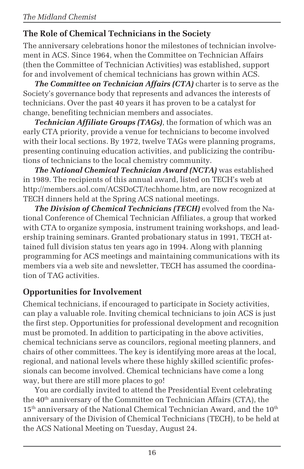#### **The Role of Chemical Technicians in the Society**

The anniversary celebrations honor the milestones of technician involvement in ACS. Since 1964, when the Committee on Technician Affairs (then the Committee of Technician Activities) was established, support for and involvement of chemical technicians has grown within ACS.

*The Committee on Technician Affairs (CTA)* charter is to serve as the Society's governance body that represents and advances the interests of technicians. Over the past 40 years it has proven to be a catalyst for change, benefiting technician members and associates.

*Technician Affiliate Groups (TAGs)*, the formation of which was an early CTA priority, provide a venue for technicians to become involved with their local sections. By 1972, twelve TAGs were planning programs, presenting continuing education activities, and publicizing the contributions of technicians to the local chemistry community.

*The National Chemical Technician Award (NCTA)* was established in 1989. The recipients of this annual award, listed on TECH's web at http://members.aol.com/ACSDoCT/techhome.htm, are now recognized at TECH dinners held at the Spring ACS national meetings.

*The Division of Chemical Technicians (TECH)* evolved from the National Conference of Chemical Technician Affiliates, a group that worked with CTA to organize symposia, instrument training workshops, and leadership training seminars. Granted probationary status in 1991, TECH attained full division status ten years ago in 1994. Along with planning programming for ACS meetings and maintaining communications with its members via a web site and newsletter, TECH has assumed the coordination of TAG activities.

#### **Opportunities for Involvement**

Chemical technicians, if encouraged to participate in Society activities, can play a valuable role. Inviting chemical technicians to join ACS is just the first step. Opportunities for professional development and recognition must be promoted. In addition to participating in the above activities, chemical technicians serve as councilors, regional meeting planners, and chairs of other committees. The key is identifying more areas at the local, regional, and national levels where these highly skilled scientific professionals can become involved. Chemical technicians have come a long way, but there are still more places to go!

You are cordially invited to attend the Presidential Event celebrating the 40<sup>th</sup> anniversary of the Committee on Technician Affairs (CTA), the  $15<sup>th</sup>$  anniversary of the National Chemical Technician Award, and the  $10<sup>th</sup>$ anniversary of the Division of Chemical Technicians (TECH), to be held at the ACS National Meeting on Tuesday, August 24.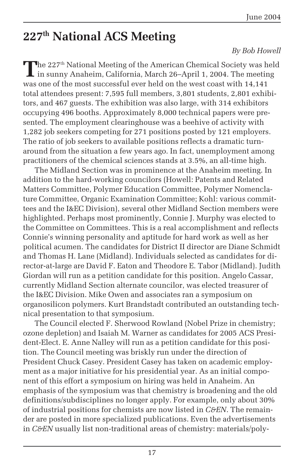## **227th National ACS Meeting**

#### *By Bob Howell*

The 227<sup>th</sup> National Meeting of the American Chemical Society was held I in sunny Anaheim, California, March 26–April 1, 2004. The meeting was one of the most successful ever held on the west coast with 14,141 total attendees present: 7,595 full members, 3,801 students, 2,801 exhibitors, and 467 guests. The exhibition was also large, with 314 exhibitors occupying 496 booths. Approximately 8,000 technical papers were presented. The employment clearinghouse was a beehive of activity with 1,282 job seekers competing for 271 positions posted by 121 employers. The ratio of job seekers to available positions reflects a dramatic turnaround from the situation a few years ago. In fact, unemployment among practitioners of the chemical sciences stands at 3.5%, an all-time high.

The Midland Section was in prominence at the Anaheim meeting. In addition to the hard-working councilors (Howell: Patents and Related Matters Committee, Polymer Education Committee, Polymer Nomenclature Committee, Organic Examination Committee; Kohl: various committees and the I&EC Division), several other Midland Section members were highlighted. Perhaps most prominently, Connie J. Murphy was elected to the Committee on Committees. This is a real accomplishment and reflects Connie's winning personality and aptitude for hard work as well as her political acumen. The candidates for District II director are Diane Schmidt and Thomas H. Lane (Midland). Individuals selected as candidates for director-at-large are David F. Eaton and Theodore E. Tabor (Midland). Judith Giordan will run as a petition candidate for this position. Angelo Cassar, currently Midland Section alternate councilor, was elected treasurer of the I&EC Division. Mike Owen and associates ran a symposium on organosilicon polymers. Kurt Brandstadt contributed an outstanding technical presentation to that symposium.

The Council elected F. Sherwood Rowland (Nobel Prize in chemistry; ozone depletion) and Isaiah M. Warner as candidates for 2005 ACS President-Elect. E. Anne Nalley will run as a petition candidate for this position. The Council meeting was briskly run under the direction of President Chuck Casey. President Casey has taken on academic employment as a major initiative for his presidential year. As an initial component of this effort a symposium on hiring was held in Anaheim. An emphasis of the symposium was that chemistry is broadening and the old definitions/subdisciplines no longer apply. For example, only about 30% of industrial positions for chemists are now listed in *C&EN*. The remainder are posted in more specialized publications. Even the advertisements in *C&EN* usually list non-traditional areas of chemistry: materials/poly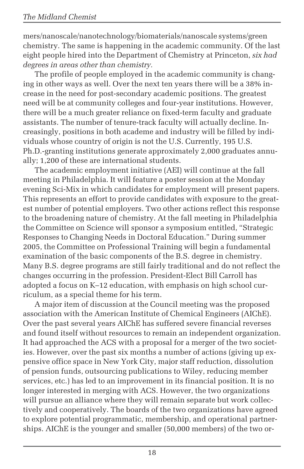mers/nanoscale/nanotechnology/biomaterials/nanoscale systems/green chemistry. The same is happening in the academic community. Of the last eight people hired into the Department of Chemistry at Princeton, *six had degrees in areas other than chemistry.*

The profile of people employed in the academic community is changing in other ways as well. Over the next ten years there will be a 38% increase in the need for post-secondary academic positions. The greatest need will be at community colleges and four-year institutions. However, there will be a much greater reliance on fixed-term faculty and graduate assistants. The number of tenure-track faculty will actually decline. Increasingly, positions in both academe and industry will be filled by individuals whose country of origin is not the U.S. Currently, 195 U.S. Ph.D.-granting institutions generate approximately 2,000 graduates annually; 1,200 of these are international students.

The academic employment initiative (AEI) will continue at the fall meeting in Philadelphia. It will feature a poster session at the Monday evening Sci-Mix in which candidates for employment will present papers. This represents an effort to provide candidates with exposure to the greatest number of potential employers. Two other actions reflect this response to the broadening nature of chemistry. At the fall meeting in Philadelphia the Committee on Science will sponsor a symposium entitled, "Strategic Responses to Changing Needs in Doctoral Education." During summer 2005, the Committee on Professional Training will begin a fundamental examination of the basic components of the B.S. degree in chemistry. Many B.S. degree programs are still fairly traditional and do not reflect the changes occurring in the profession. President-Elect Bill Carroll has adopted a focus on K–12 education, with emphasis on high school curriculum, as a special theme for his term.

A major item of discussion at the Council meeting was the proposed association with the American Institute of Chemical Engineers (AIChE). Over the past several years AIChE has suffered severe financial reverses and found itself without resources to remain an independent organization. It had approached the ACS with a proposal for a merger of the two societies. However, over the past six months a number of actions (giving up expensive office space in New York City, major staff reduction, dissolution of pension funds, outsourcing publications to Wiley, reducing member services, etc.) has led to an improvement in its financial position. It is no longer interested in merging with ACS. However, the two organizations will pursue an alliance where they will remain separate but work collectively and cooperatively. The boards of the two organizations have agreed to explore potential programmatic, membership, and operational partnerships. AIChE is the younger and smaller (50,000 members) of the two or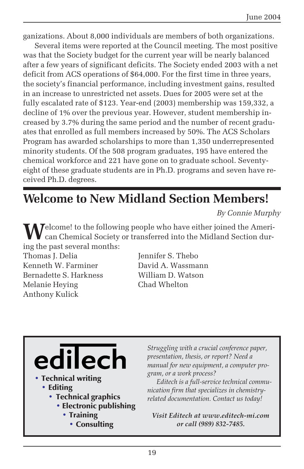ganizations. About 8,000 individuals are members of both organizations.

Several items were reported at the Council meeting. The most positive was that the Society budget for the current year will be nearly balanced after a few years of significant deficits. The Society ended 2003 with a net deficit from ACS operations of \$64,000. For the first time in three years, the society's financial performance, including investment gains, resulted in an increase to unrestricted net assets. Dues for 2005 were set at the fully escalated rate of \$123. Year-end (2003) membership was 159,332, a decline of 1% over the previous year. However, student membership increased by 3.7% during the same period and the number of recent graduates that enrolled as full members increased by 50%. The ACS Scholars Program has awarded scholarships to more than 1,350 underrepresented minority students. Of the 508 program graduates, 195 have entered the chemical workforce and 221 have gone on to graduate school. Seventyeight of these graduate students are in Ph.D. programs and seven have received Ph.D. degrees.

## **Welcome to New Midland Section Members!**

*By Connie Murphy*

Welcome! to the following people who have either joined the Ameri-<br>can Chemical Society or transferred into the Midland Section during the past several months:

Thomas I. Delia Jennifer S. Thebo Kenneth W. Farminer David A. Wassmann Bernadette S. Harkness William D. Watson Melanie Heying Chad Whelton Anthony Kulick



- Technical writing
	- Editing
		- Technical graphics
			- Electronic publishing
				- Training
					- Consulting

*Struggling with a crucial conference paper, presentation, thesis, or report? Need a manual for new equipment, a computer program, or a work process?*

*Editech is a full-service technical communication firm that specializes in chemistryrelated documentation. Contact us today!*

*Visit Editech at www.editech-mi.com or call (989) 832-7485.*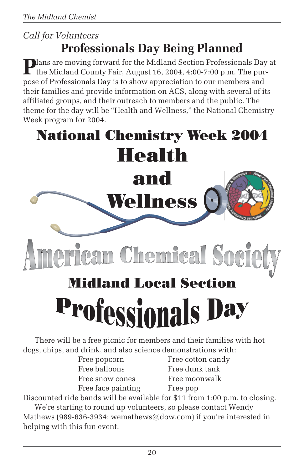### *Call for Volunteers* **Professionals Day Being Planned**

**Plans are moving forward for the Midland Section Professionals Day at**  $\Gamma$  the Midland County Fair, August 16, 2004, 4:00-7:00 p.m. The purpose of Professionals Day is to show appreciation to our members and their families and provide information on ACS, along with several of its affiliated groups, and their outreach to members and the public. The theme for the day will be "Health and Wellness," the National Chemistry Week program for 2004.

## **National Chemistry Week 2004 Health** and Wellness can Chemical Soc **Midland Local Section**

# **Professionals Day**

There will be a free picnic for members and their families with hot dogs, chips, and drink, and also science demonstrations with:

| Free popcorn       |
|--------------------|
| Free balloons      |
| Free snow cones    |
| Free face painting |

Free cotton candy Free dunk tank Free moonwalk Free pop

Discounted ride bands will be available for \$11 from 1:00 p.m. to closing. We're starting to round up volunteers, so please contact Wendy

Mathews (989-636-3934; wemathews  $@dow.com$ ) if you're interested in helping with this fun event.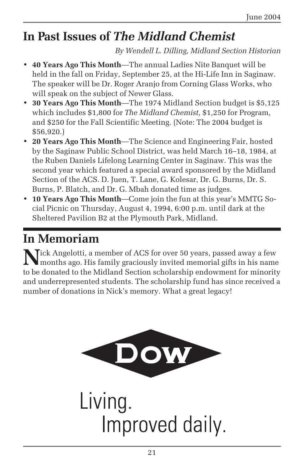## **In Past Issues of** *The Midland Chemist*

*By Wendell L. Dilling, Midland Section Historian*

- **40 Years Ago This Month**—The annual Ladies Nite Banquet will be held in the fall on Friday, September 25, at the Hi-Life Inn in Saginaw. The speaker will be Dr. Roger Aranjo from Corning Glass Works, who will speak on the subject of Newer Glass.
- **30 Years Ago This Month**—The 1974 Midland Section budget is \$5,125 which includes \$1,800 for *The Midland Chemist*, \$1,250 for Program, and \$250 for the Fall Scientific Meeting. (Note: The 2004 budget is \$56,920.)
- **20 Years Ago This Month**—The Science and Engineering Fair, hosted by the Saginaw Public School District, was held March 16–18, 1984, at the Ruben Daniels Lifelong Learning Center in Saginaw. This was the second year which featured a special award sponsored by the Midland Section of the ACS. D. Juen, T. Lane, G. Kolesar, Dr. G. Burns, Dr. S. Burns, P. Blatch, and Dr. G. Mbah donated time as judges.
- **10 Years Ago This Month**—Come join the fun at this year's MMTG Social Picnic on Thursday, August 4, 1994, 6:00 p.m. until dark at the Sheltered Pavilion B2 at the Plymouth Park, Midland.

## **In Memoriam**

**N** Tick Angelotti, a member of ACS for over 50 years, passed away a few months ago. His family graciously invited memorial gifts in his name to be donated to the Midland Section scholarship endowment for minority and underrepresented students. The scholarship fund has since received a number of donations in Nick's memory. What a great legacy!